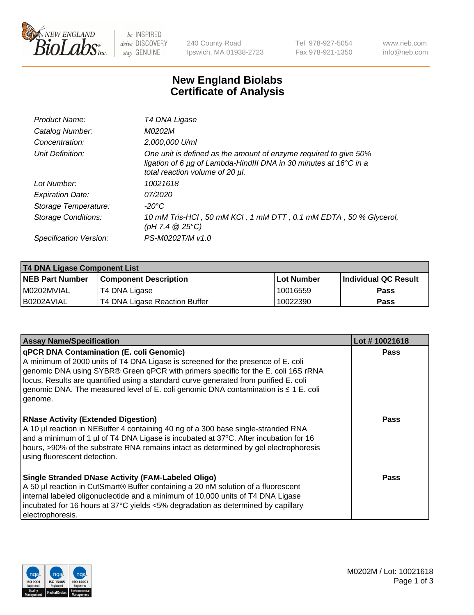

be INSPIRED drive DISCOVERY stay GENUINE

240 County Road Ipswich, MA 01938-2723 Tel 978-927-5054 Fax 978-921-1350 www.neb.com info@neb.com

## **New England Biolabs Certificate of Analysis**

| Product Name:           | T4 DNA Ligase                                                                                                                                                            |
|-------------------------|--------------------------------------------------------------------------------------------------------------------------------------------------------------------------|
| Catalog Number:         | M0202M                                                                                                                                                                   |
| Concentration:          | 2,000,000 U/ml                                                                                                                                                           |
| Unit Definition:        | One unit is defined as the amount of enzyme required to give 50%<br>ligation of 6 µg of Lambda-HindIII DNA in 30 minutes at 16°C in a<br>total reaction volume of 20 µl. |
| Lot Number:             | 10021618                                                                                                                                                                 |
| <b>Expiration Date:</b> | 07/2020                                                                                                                                                                  |
| Storage Temperature:    | $-20^{\circ}$ C                                                                                                                                                          |
| Storage Conditions:     | 10 mM Tris-HCl, 50 mM KCl, 1 mM DTT, 0.1 mM EDTA, 50 % Glycerol,<br>(pH 7.4 $@25°C$ )                                                                                    |
| Specification Version:  | PS-M0202T/M v1.0                                                                                                                                                         |

| T4 DNA Ligase Component List |                               |              |                             |  |
|------------------------------|-------------------------------|--------------|-----------------------------|--|
| <b>NEB Part Number</b>       | l Component Description       | l Lot Number | <b>Individual QC Result</b> |  |
| I M0202MVIAL                 | T4 DNA Ligase                 | 10016559     | <b>Pass</b>                 |  |
| I B0202AVIAL                 | T4 DNA Ligase Reaction Buffer | 10022390     | <b>Pass</b>                 |  |

| <b>Assay Name/Specification</b>                                                                                                                                                                                                                                                                                                                                                                                         | Lot #10021618 |
|-------------------------------------------------------------------------------------------------------------------------------------------------------------------------------------------------------------------------------------------------------------------------------------------------------------------------------------------------------------------------------------------------------------------------|---------------|
| <b>qPCR DNA Contamination (E. coli Genomic)</b><br>A minimum of 2000 units of T4 DNA Ligase is screened for the presence of E. coli<br>genomic DNA using SYBR® Green qPCR with primers specific for the E. coli 16S rRNA<br>locus. Results are quantified using a standard curve generated from purified E. coli<br>genomic DNA. The measured level of E. coli genomic DNA contamination is $\leq 1$ E. coli<br>genome. | <b>Pass</b>   |
| <b>RNase Activity (Extended Digestion)</b><br>A 10 µl reaction in NEBuffer 4 containing 40 ng of a 300 base single-stranded RNA<br>and a minimum of 1 µl of T4 DNA Ligase is incubated at 37 $\degree$ C. After incubation for 16<br>hours, >90% of the substrate RNA remains intact as determined by gel electrophoresis<br>using fluorescent detection.                                                               | Pass          |
| Single Stranded DNase Activity (FAM-Labeled Oligo)<br>A 50 µl reaction in CutSmart® Buffer containing a 20 nM solution of a fluorescent<br>internal labeled oligonucleotide and a minimum of 10,000 units of T4 DNA Ligase<br>incubated for 16 hours at 37°C yields <5% degradation as determined by capillary<br>electrophoresis.                                                                                      | Pass          |

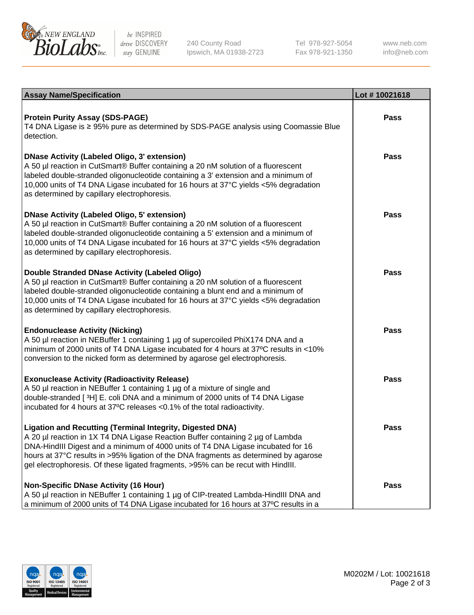

be INSPIRED drive DISCOVERY stay GENUINE

240 County Road Ipswich, MA 01938-2723 Tel 978-927-5054 Fax 978-921-1350

www.neb.com info@neb.com

| <b>Assay Name/Specification</b>                                                                                                                                                                                                                                                                                                                                                                                      | Lot #10021618 |
|----------------------------------------------------------------------------------------------------------------------------------------------------------------------------------------------------------------------------------------------------------------------------------------------------------------------------------------------------------------------------------------------------------------------|---------------|
| <b>Protein Purity Assay (SDS-PAGE)</b><br>T4 DNA Ligase is ≥ 95% pure as determined by SDS-PAGE analysis using Coomassie Blue<br>detection.                                                                                                                                                                                                                                                                          | <b>Pass</b>   |
| DNase Activity (Labeled Oligo, 3' extension)<br>A 50 µl reaction in CutSmart® Buffer containing a 20 nM solution of a fluorescent<br>labeled double-stranded oligonucleotide containing a 3' extension and a minimum of<br>10,000 units of T4 DNA Ligase incubated for 16 hours at 37°C yields <5% degradation<br>as determined by capillary electrophoresis.                                                        | <b>Pass</b>   |
| DNase Activity (Labeled Oligo, 5' extension)<br>A 50 µl reaction in CutSmart® Buffer containing a 20 nM solution of a fluorescent<br>labeled double-stranded oligonucleotide containing a 5' extension and a minimum of<br>10,000 units of T4 DNA Ligase incubated for 16 hours at 37°C yields <5% degradation<br>as determined by capillary electrophoresis.                                                        | Pass          |
| Double Stranded DNase Activity (Labeled Oligo)<br>A 50 µl reaction in CutSmart® Buffer containing a 20 nM solution of a fluorescent<br>labeled double-stranded oligonucleotide containing a blunt end and a minimum of<br>10,000 units of T4 DNA Ligase incubated for 16 hours at 37°C yields <5% degradation<br>as determined by capillary electrophoresis.                                                         | Pass          |
| <b>Endonuclease Activity (Nicking)</b><br>A 50 µl reaction in NEBuffer 1 containing 1 µg of supercoiled PhiX174 DNA and a<br>minimum of 2000 units of T4 DNA Ligase incubated for 4 hours at 37°C results in <10%<br>conversion to the nicked form as determined by agarose gel electrophoresis.                                                                                                                     | <b>Pass</b>   |
| <b>Exonuclease Activity (Radioactivity Release)</b><br>A 50 µl reaction in NEBuffer 1 containing 1 µg of a mixture of single and<br>double-stranded [3H] E. coli DNA and a minimum of 2000 units of T4 DNA Ligase<br>incubated for 4 hours at 37°C releases <0.1% of the total radioactivity.                                                                                                                        | Pass          |
| <b>Ligation and Recutting (Terminal Integrity, Digested DNA)</b><br>  A 20 µl reaction in 1X T4 DNA Ligase Reaction Buffer containing 2 µg of Lambda<br>DNA-HindIII Digest and a minimum of 4000 units of T4 DNA Ligase incubated for 16<br>hours at 37°C results in >95% ligation of the DNA fragments as determined by agarose<br>gel electrophoresis. Of these ligated fragments, >95% can be recut with HindIII. | Pass          |
| Non-Specific DNase Activity (16 Hour)<br>A 50 µl reaction in NEBuffer 1 containing 1 µg of CIP-treated Lambda-HindIII DNA and<br>$\vert$ a minimum of 2000 units of T4 DNA Ligase incubated for 16 hours at 37°C results in a                                                                                                                                                                                        | <b>Pass</b>   |